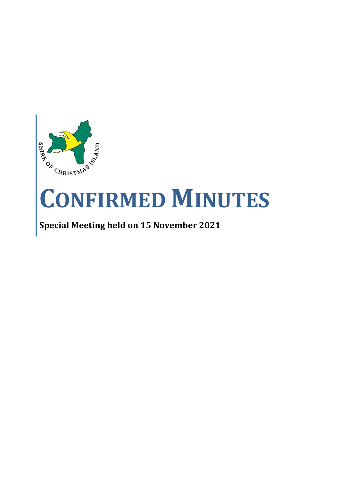

# **CONFIRMED MINUTES**

# **Special Meeting held on 15 November 2021**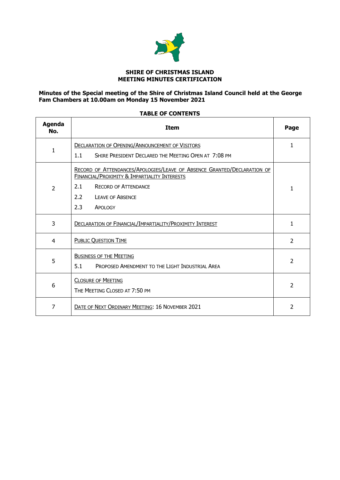

# **SHIRE OF CHRISTMAS ISLAND MEETING MINUTES CERTIFICATION**

## **Minutes of the Special meeting of the Shire of Christmas Island Council held at the George Fam Chambers at 10.00am on Monday 15 November 2021**

| <b>Agenda</b><br>No. | <b>Item</b>                                                                                                                                                                                                                 | Page                     |
|----------------------|-----------------------------------------------------------------------------------------------------------------------------------------------------------------------------------------------------------------------------|--------------------------|
| $\mathbf{1}$         | <b>DECLARATION OF OPENING/ANNOUNCEMENT OF VISITORS</b><br>SHIRE PRESIDENT DECLARED THE MEETING OPEN AT 7:08 PM<br>1.1                                                                                                       |                          |
| $\overline{2}$       | RECORD OF ATTENDANCES/APOLOGIES/LEAVE OF ABSENCE GRANTED/DECLARATION OF<br>FINANCIAL/PROXIMITY & IMPARTIALITY INTERESTS<br>2.1<br><b>RECORD OF ATTENDANCE</b><br>$2.2^{\circ}$<br><b>LEAVE OF ABSENCE</b><br>2.3<br>APOLOGY |                          |
| 3                    | <b>DECLARATION OF FINANCIAL/IMPARTIALITY/PROXIMITY INTEREST</b>                                                                                                                                                             | 1                        |
| $\overline{4}$       | <b>PUBLIC QUESTION TIME</b>                                                                                                                                                                                                 | $\overline{2}$           |
| 5                    | <b>BUSINESS OF THE MEETING</b><br>5.1<br>PROPOSED AMENDMENT TO THE LIGHT INDUSTRIAL AREA                                                                                                                                    | $\overline{2}$           |
| 6                    | <b>CLOSURE OF MEETING</b><br>THE MEETING CLOSED AT 7:50 PM                                                                                                                                                                  | $\overline{2}$           |
| 7                    | DATE OF NEXT ORDINARY MEETING: 16 NOVEMBER 2021                                                                                                                                                                             | $\overline{\phantom{a}}$ |

# **TABLE OF CONTENTS**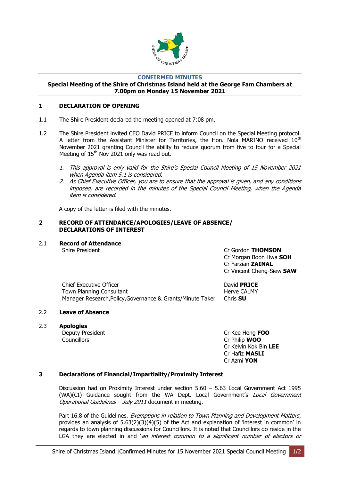

# **CONFIRMED MINUTES**

#### **Special Meeting of the Shire of Christmas Island held at the George Fam Chambers at 7.00pm on Monday 15 November 2021**

## <span id="page-2-1"></span><span id="page-2-0"></span>**1 DECLARATION OF OPENING**

- 1.1 The Shire President declared the meeting opened at 7:08 pm.
- 1.2 The Shire President invited CEO David PRICE to inform Council on the Special Meeting protocol. A letter from the Assistant Minister for Territories, the Hon. Nola MARINO received  $10^{th}$ November 2021 granting Council the ability to reduce quorum from five to four for a Special Meeting of 15<sup>th</sup> Nov 2021 only was read out.
	- 1. This approval is only valid for the Shire's Special Council Meeting of 15 November 2021 when Agenda item 5.1 is considered.
	- 2. As Chief Executive Officer, you are to ensure that the approval is given, and any conditions imposed, are recorded in the minutes of the Special Council Meeting, when the Agenda item is considered.

A copy of the letter is filed with the minutes.

#### <span id="page-2-2"></span>**2 RECORD OF ATTENDANCE/APOLOGIES/LEAVE OF ABSENCE/ DECLARATIONS OF INTEREST**

2.1 **Record of Attendance**

Shire President **Cr Gordon THOMSON** Cr Morgan Boon Hwa **SOH** Cr Farzian **ZAINAL** Cr Vincent Cheng-Siew **SAW**

Chief Executive Officer **David PRICE** Town Planning Consultant Town Planning Consultant Manager Research,Policy,Governance & Grants/Minute Taker Chris **SU**

# 2.2 **Leave of Absence**

2.3 **Apologies**

Councillors Cr Philip **WOO**

Deputy President Cr Kee Heng **FOO** Cr Kelvin Kok Bin **LEE** Cr Hafiz **MASLI** Cr Azmi **YON**

# <span id="page-2-3"></span>**3 Declarations of Financial/Impartiality/Proximity Interest**

Discussion had on Proximity Interest under section 5.60 – 5.63 Local Government Act 1995 (WA)(CI) Guidance sought from the WA Dept. Local Government's Local Government Operational Guidelines – July 2011 document in meeting.

Part 16.8 of the Guidelines, Exemptions in relation to Town Planning and Development Matters, provides an analysis of 5.63(2)(3)(4)(5) of the Act and explanation of 'interest in common' in regards to town planning discussions for Councillors. It is noted that Councillors do reside in the LGA they are elected in and 'an interest common to a significant number of electors or